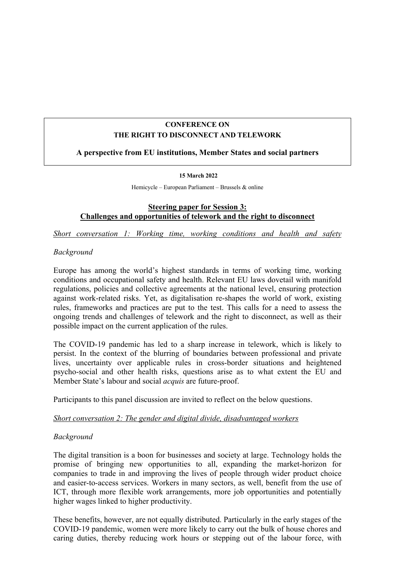# **CONFERENCE ON THE RIGHT TO DISCONNECT AND TELEWORK**

## **A perspective from EU institutions, Member States and social partners**

#### **15 March 2022**

Hemicycle – European Parliament – Brussels & online

## **Steering paper for Session 3: Challenges and opportunities of telework and the right to disconnect**

*Short conversation 1: Working time, working conditions and health and safety* 

### *Background*

Europe has among the world's highest standards in terms of working time, working conditions and occupational safety and health. Relevant EU laws dovetail with manifold regulations, policies and collective agreements at the national level, ensuring protection against work-related risks. Yet, as digitalisation re-shapes the world of work, existing rules, frameworks and practices are put to the test. This calls for a need to assess the ongoing trends and challenges of telework and the right to disconnect, as well as their possible impact on the current application of the rules.

The COVID-19 pandemic has led to a sharp increase in telework, which is likely to persist. In the context of the blurring of boundaries between professional and private lives, uncertainty over applicable rules in cross-border situations and heightened psycho-social and other health risks, questions arise as to what extent the EU and Member State's labour and social *acquis* are future-proof.

Participants to this panel discussion are invited to reflect on the below questions.

#### *Short conversation 2: The gender and digital divide, disadvantaged workers*

#### *Background*

The digital transition is a boon for businesses and society at large. Technology holds the promise of bringing new opportunities to all, expanding the market-horizon for companies to trade in and improving the lives of people through wider product choice and easier-to-access services. Workers in many sectors, as well, benefit from the use of ICT, through more flexible work arrangements, more job opportunities and potentially higher wages linked to higher productivity.

These benefits, however, are not equally distributed. Particularly in the early stages of the COVID-19 pandemic, women were more likely to carry out the bulk of house chores and caring duties, thereby reducing work hours or stepping out of the labour force, with